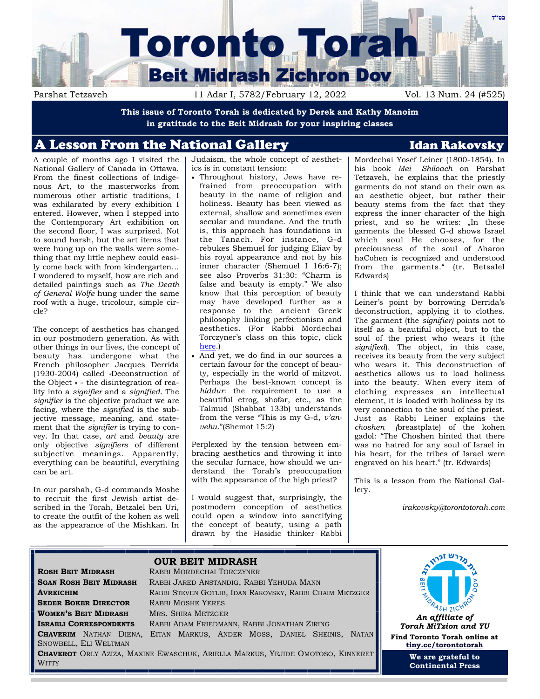

**This issue of Toronto Torah is dedicated by Derek and Kathy Manoim in gratitude to the Beit Midrash for your inspiring classes**

# A Lesson From the National Gallery **Interval Communist Club** Idan Rakovsky

A couple of months ago I visited the National Gallery of Canada in Ottawa. From the finest collections of Indigenous Art, to the masterworks from numerous other artistic traditions, I was exhilarated by every exhibition I entered. However, when I stepped into the Contemporary Art exhibition on the second floor, I was surprised. Not to sound harsh, but the art items that were hung up on the walls were something that my little nephew could easily come back with from kindergarten… I wondered to myself, how are rich and detailed paintings such as *The Death of General Wolfe* hung under the same roof with a huge, tricolour, simple circle?

The concept of aesthetics has changed in our postmodern generation. As with other things in our lives, the concept of beauty has undergone what the French philosopher Jacques Derrida (1930-2004) called *«*Deconstruction of the Object » - the disintegration of reality into a *signifier* and a *signified*. The *signifier* is the objective product we are facing, where the *signified* is the subjective message, meaning, and statement that the *signifier* is trying to convey. In that case, *art* and *beauty* are only objective *signifiers* of different subjective meanings. Apparently, everything can be beautiful, everything can be art.

In our parshah, G-d commands Moshe to recruit the first Jewish artist described in the Torah, Betzalel ben Uri, to create the outfit of the kohen as well as the appearance of the Mishkan. In Judaism, the whole concept of aesthetics is in constant tension:

- Throughout history, Jews have refrained from preoccupation with beauty in the name of religion and holiness. Beauty has been viewed as external, shallow and sometimes even secular and mundane. And the truth is, this approach has foundations in the Tanach. For instance, G-d rebukes Shemuel for judging Eliav by his royal appearance and not by his inner character (Shemuel I 16:6-7); see also Proverbs 31:30: "Charm is false and beauty is empty." We also know that this perception of beauty may have developed further as a response to the ancient Greek philosophy linking perfectionism and aesthetics. (For Rabbi Mordechai Torczyner's class on this topic, click [here.\)](https://www.yutorah.org/lectures/lecture.cfm/1018216/)
- And yet, we do find in our sources a certain favour for the concept of beauty, especially in the world of mitzvot. Perhaps the best-known concept is *hiddur*: the requirement to use a beautiful etrog, shofar, etc., as the Talmud (Shabbat 133b) understands from the verse "This is my G-d, *v'anvehu*."(Shemot 15:2)

Perplexed by the tension between embracing aesthetics and throwing it into the secular furnace, how should we understand the Torah's preoccupation with the appearance of the high priest?

I would suggest that, surprisingly, the postmodern conception of aesthetics could open a window into sanctifying the concept of beauty, using a path drawn by the Hasidic thinker Rabbi Mordechai Yosef Leiner (1800-1854). In his book *Mei Shiloach* on Parshat Tetzaveh, he explains that the priestly garments do not stand on their own as an aesthetic object, but rather their beauty stems from the fact that they express the inner character of the high priest, and so he writes: "In these garments the blessed G-d shows Israel which soul He chooses, for the preciousness of the soul of Aharon haCohen is recognized and understood from the garments." (tr. Betsalel Edwards)

I think that we can understand Rabbi Leiner's point by borrowing Derrida's deconstruction, applying it to clothes. The garment (the *signifier)* points not to itself as a beautiful object, but to the soul of the priest who wears it (the *signified*). The object, in this case, receives its beauty from the very subject who wears it. This deconstruction of aesthetics allows us to load holiness into the beauty. When every item of clothing expresses an intellectual element, it is loaded with holiness by its very connection to the soul of the priest. Just as Rabbi Leiner explains the *choshen (*breastplate) of the kohen gadol: "The Choshen hinted that there was no hatred for any soul of Israel in his heart, for the tribes of Israel were engraved on his heart." (tr. Edwards)

This is a lesson from the National Gallery.

*irakovsky@torontotorah.com*

### **OUR BEIT MIDRASH ROSH BEIT MIDRASH** RABBI MORDECHAI TORCZYNER **SGAN ROSH BEIT MIDRASH** RABBI JARED ANSTANDIG, RABBI YEHUDA MANN **AVREICHIM** RABBI STEVEN GOTLIB, IDAN RAKOVSKY, RABBI CHAIM METZGER **SEDER BOKER DIRECTOR** RABBI MOSHE YERES **WOMEN'S BEIT MIDRASH** MRS. SHIRA METZGER **ISRAELI CORRESPONDENTS** RABBI ADAM FRIEDMANN, RABBI JONATHAN ZIRING **CHAVERIM** NATHAN DIENA, EITAN MARKUS, ANDER MOSS, DANIEL SHEINIS, NATAN SNOWBELL, ELI WELTMAN **CHAVEROT** ORLY AZIZA, MAXINE EWASCHUK, ARIELLA MARKUS, YEJIDE OMOTOSO, KINNERET **WITTY**



*Torah MiTzion and YU* **Find Toronto Torah online at [tiny.cc/torontotorah](http://tiny.cc/torontotorah)**

> **We are grateful to Continental Press**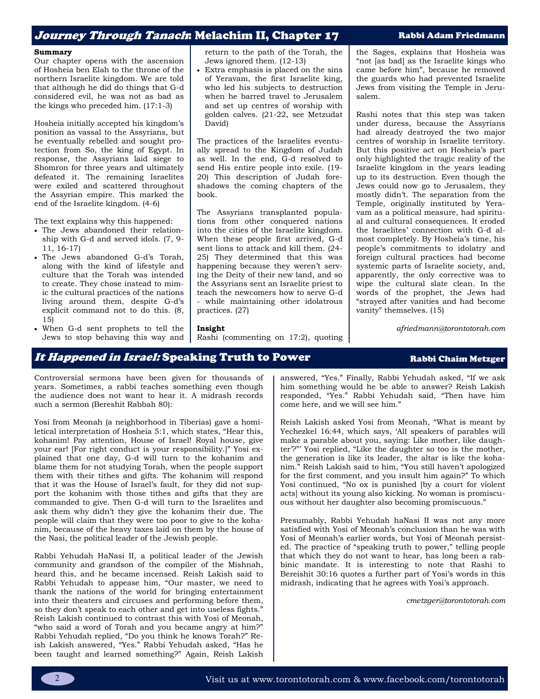## Journey Through Tanach: Melachim II, Chapter 17 Rabbi Adam Friedmann

#### **Summary**

Our chapter opens with the ascension of Hosheia ben Elah to the throne of the northern Israelite kingdom. We are told that although he did do things that G-d considered evil, he was not as bad as the kings who preceded him. (17:1-3)

Hosheia initially accepted his kingdom's position as vassal to the Assyrians, but he eventually rebelled and sought protection from So, the king of Egypt. In response, the Assyrians laid siege to Shomron for three years and ultimately defeated it. The remaining Israelites were exiled and scattered throughout the Assyrian empire. This marked the end of the Israelite kingdom. (4-6)

The text explains why this happened:

- The Jews abandoned their relationship with G-d and served idols. (7, 9- 11, 16-17)
- The Jews abandoned G-d's Torah, along with the kind of lifestyle and culture that the Torah was intended to create. They chose instead to mimic the cultural practices of the nations living around them, despite G-d's explicit command not to do this. (8, 15)
- When G-d sent prophets to tell the Jews to stop behaving this way and

return to the path of the Torah, the Jews ignored them. (12-13)

Extra emphasis is placed on the sins of Yeravam, the first Israelite king, who led his subjects to destruction when he barred travel to Jerusalem and set up centres of worship with golden calves. (21-22, see Metzudat David)

The practices of the Israelites eventually spread to the Kingdom of Judah as well. In the end, G-d resolved to send His entire people into exile. (19- 20) This description of Judah foreshadows the coming chapters of the book.

The Assyrians transplanted populations from other conquered nations into the cities of the Israelite kingdom. When these people first arrived, G-d sent lions to attack and kill them. (24- 25) They determined that this was happening because they weren't serving the Deity of their new land, and so the Assyrians sent an Israelite priest to teach the newcomers how to serve G-d - while maintaining other idolatrous practices. (27)

Rashi (commenting on 17:2), quoting

the Sages, explains that Hosheia was "not [as bad] as the Israelite kings who came before him", because he removed the guards who had prevented Israelite Jews from visiting the Temple in Jerusalem.

Rashi notes that this step was taken under duress, because the Assyrians had already destroyed the two major centres of worship in Israelite territory. But this positive act on Hosheia's part only highlighted the tragic reality of the Israelite kingdom in the years leading up to its destruction. Even though the Jews could now go to Jerusalem, they mostly didn't. The separation from the Temple, originally instituted by Yeravam as a political measure, had spiritual and cultural consequences. It eroded the Israelites' connection with G-d almost completely. By Hosheia's time, his people's commitments to idolatry and foreign cultural practices had become systemic parts of Israelite society, and, apparently, the only corrective was to wipe the cultural slate clean. In the words of the prophet, the Jews had "strayed after vanities and had become vanity" themselves. (15)

*afriedmann@torontotorah.com*

## It Happened in Israel: Speaking Truth to Power Rabbi Chaim Metzger

**Insight**

Controversial sermons have been given for thousands of years. Sometimes, a rabbi teaches something even though the audience does not want to hear it. A midrash records such a sermon (Bereshit Rabbah 80):

Yosi from Meonah (a neighborhood in Tiberias) gave a homiletical interpretation of Hosheia 5:1, which states, "Hear this, kohanim! Pay attention, House of Israel! Royal house, give your ear! [For right conduct is your responsibility.]" Yosi explained that one day, G-d will turn to the kohanim and blame them for not studying Torah, when the people support them with their tithes and gifts. The kohanim will respond that it was the House of Israel's fault, for they did not support the kohanim with those tithes and gifts that they are commanded to give. Then G-d will turn to the Israelites and ask them why didn't they give the kohanim their due. The people will claim that they were too poor to give to the kohanim, because of the heavy taxes laid on them by the house of the Nasi, the political leader of the Jewish people.

Rabbi Yehudah HaNasi II, a political leader of the Jewish community and grandson of the compiler of the Mishnah, heard this, and he became incensed. Reish Lakish said to Rabbi Yehudah to appease him, "Our master, we need to thank the nations of the world for bringing entertainment into their theaters and circuses and performing before them, so they don't speak to each other and get into useless fights." Reish Lakish continued to contrast this with Yosi of Meonah, "who said a word of Torah and you became angry at him?" Rabbi Yehudah replied, "Do you think he knows Torah?" Reish Lakish answered, "Yes." Rabbi Yehudah asked, "Has he been taught and learned something?" Again, Reish Lakish answered, "Yes." Finally, Rabbi Yehudah asked, "If we ask him something would he be able to answer? Reish Lakish responded, "Yes." Rabbi Yehudah said, "Then have him come here, and we will see him."

Reish Lakish asked Yosi from Meonah, "What is meant by Yechezkel 16:44, which says, 'All speakers of parables will make a parable about you, saying: Like mother, like daughter'?"' Yosi replied, "Like the daughter so too is the mother, the generation is like its leader, the altar is like the kohanim." Reish Lakish said to him, "You still haven't apologized for the first comment, and you insult him again?" To which Yosi continued, "No ox is punished [by a court for violent acts] without its young also kicking. No woman is promiscuous without her daughter also becoming promiscuous."

Presumably, Rabbi Yehudah haNasi II was not any more satisfied with Yosi of Meonah's conclusion than he was with Yosi of Meonah's earlier words, but Yosi of Meonah persisted. The practice of "speaking truth to power," telling people that which they do not want to hear, has long been a rabbinic mandate. It is interesting to note that Rashi to Bereishit 30:16 quotes a further part of Yosi's words in this midrash, indicating that he agrees with Yosi's approach.

*cmetzger@torontotorah.com*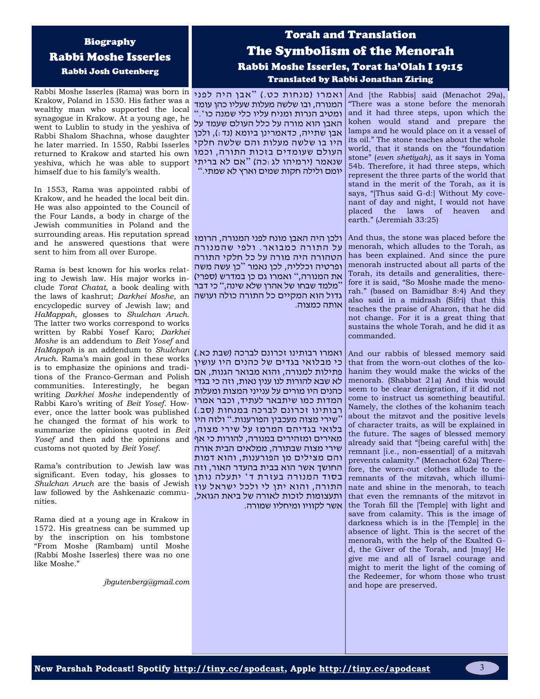# Biography Rabbi Moshe Isserles Rabbi Josh Gutenberg

Rabbi Moshe Isserles (Rama) was born in אבן היה לפני "אבן מנחות כט") And [the Rabbis] said (Menachot 29a), Krakow, Poland in 1530. His father was a wealthy man who supported the local synagogue in Krakow. At a young age, he went to Lublin to study in the yeshiva of Rabbi Shalom Shachna, whose daughter he later married. In 1550, Rabbi Isserles returned to Krakow and started his own yeshiva, which he was able to support שנאמר (ירמיהו לג:כה) "אם לא בריתי himself due to his family's wealth.

In 1553, Rama was appointed rabbi of Krakow, and he headed the local beit din. He was also appointed to the Council of the Four Lands, a body in charge of the Jewish communities in Poland and the surrounding areas. His reputation spread and he answered questions that were sent to him from all over Europe.

Rama is best known for his works relating to Jewish law. His major works include *Torat Chatat*, a book dealing with the laws of kashrut; *Darkhei Moshe*, an גדול הוא המקיים כל התורה כולה ועושה encyclopedic survey of Jewish law; and *HaMappah*, glosses to *Shulchan Aruch*. The latter two works correspond to works written by Rabbi Yosef Karo; *Darkhei Moshe* is an addendum to *Beit Yosef* and *HaMappah* is an addendum to *Shulchan*  ואמרו רבותינו זכרונם לברכה )שבת כא.( *Aruch*. Rama's main goal in these works is to emphasize the opinions and traditions of the Franco-German and Polish communities. Interestingly, he began writing *Darkhei Moshe* independently of Rabbi Karo's writing of *Beit Yosef*. How-רבותינו זכרונם לברכה במנחות (סב.) ever, once the latter book was published he changed the format of his work to summarize the opinions quoted in *Beit*  בלואי בגדיהם המרמז על שירי מצוה, *Yosef* and then add the opinions and מאירים ומזהירים במנורה, להורות כי אף customs not quoted by *Beit Yosef*.

Rama's contribution to Jewish law was significant. Even today, his glosses to *Shulchan Aruch* are the basis of Jewish law followed by the Ashkenazic communities.

Rama died at a young age in Krakow in 1572. His greatness can be summed up by the inscription on his tombstone "From Moshe (Rambam) until Moshe (Rabbi Moshe Isserles) there was no one like Moshe."

*jbgutenberg@gmail.com*

# Torah and Translation The Symbolism of the Menorah Rabbi Moshe Isserles, Torat ha'Olah I 19:15 Translated by Rabbi Jonathan Ziring

המנורה, ובו שלשה מעלות שעליו כהן עומד ומטיב הנרות ומניח עליו כלי שמנה כו '." האבן הוא מורה על כלל העולם שעמד על אבן שתייה, כדאמרינן ביומא )נד:(, ולכן היו בו שלשה מעלות והם שלשה חלקי העולם שעומדים בזכות התורה, וכמו יומם ולילה חקות שמים וארץ לא שמתי."

ולכן היה האבן מונח לפני המנורה, הרומז על התורה כמבואר. ולפי שהמנורה הטהורה היה מורה על כל חלקי התורה ופרטיה וכלליה, לכן נאמר " כן עשה משה את המנורה," ואמרו גם כן במדרש (ספרי) " מלמד שבחו של אהרן שלא שינה," כי דבר אותה כמצוה.

כי מבלואי בגדים של כהנים היו עושין פתילות למנורה, והוא מבואר הגנות, אם לא שבא להורות לנו ענין נאות, וזה כי בגדי כהנים היו מורים על ענייני המצות ומעלות המדות כמו שיתבאר לעתיד, וכבר אמרו " שירי מצוה מעכבין הפורענות. " ולזה היו שירי מצוה שבתורה, ממלאים הבית אורה והם מצילים מן הפורענות, והוא דמות החושך אשר הוא בבית בהעדר האור, וזה בסוד המנורה בעזרת ד' יתעלה נותן התורה, והוא יתן לי ולכל ישראל עוז ותעצומות לזכות לאורה של ביאת הגואל, אשר לקוויו ומיחליו שמורה.

"There was a stone before the menorah and it had three steps, upon which the kohen would stand and prepare the lamps and he would place on it a vessel of its oil." The stone teaches about the whole world, that it stands on the "foundation stone" (*even shetiyah)*, as it says in Yoma 54b. Therefore, it had three steps, which represent the three parts of the world that stand in the merit of the Torah, as it is says, "[Thus said G-d:] Without My covenant of day and night, I would not have placed the laws of heaven and earth." (Jeremiah 33:25)

And thus, the stone was placed before the menorah, which alludes to the Torah, as has been explained. And since the pure menorah instructed about all parts of the Torah, its details and generalities, therefore it is said, "So Moshe made the menorah." (based on Bamidbar 8:4) And they also said in a midrash (Sifri) that this teaches the praise of Aharon, that he did not change. For it is a great thing that sustains the whole Torah, and he did it as commanded.

And our rabbis of blessed memory said that from the worn-out clothes of the kohanim they would make the wicks of the menorah. (Shabbat 21a) And this would seem to be clear denigration, if it did not come to instruct us something beautiful. Namely, the clothes of the kohanim teach about the mitzvot and the positive levels of character traits, as will be explained in the future. The sages of blessed memory already said that "[being careful with] the remnant [i.e., non-essential] of a mitzvah prevents calamity." (Menachot 62a) Therefore, the worn-out clothes allude to the remnants of the mitzvah, which illuminate and shine in the menorah, to teach that even the remnants of the mitzvot in the Torah fill the [Temple] with light and save from calamity. This is the image of darkness which is in the [Temple] in the absence of light. This is the secret of the menorah, with the help of the Exalted Gd, the Giver of the Torah, and [may] He give me and all of Israel courage and might to merit the light of the coming of the Redeemer, for whom those who trust and hope are preserved.